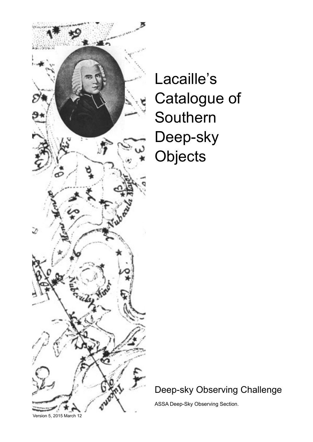

Lacaille's Catalogue of Southern Deep-sky **Objects** 

Deep-sky Observing Challenge

ASSA Deep-Sky Observing Section.